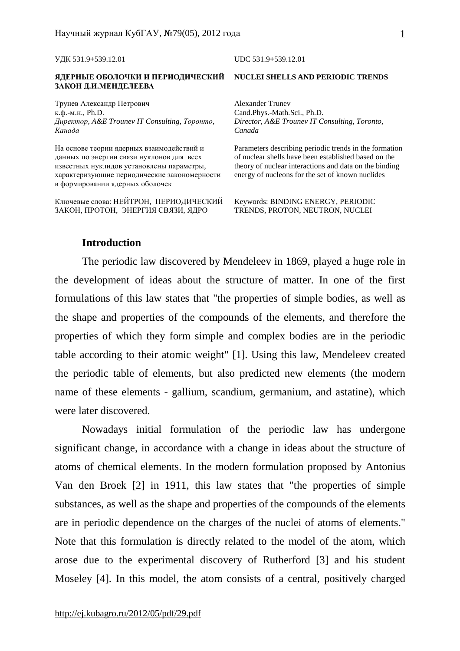УДК 531.9+539.12.01 UDC 531.9+539.12.01

#### **ЯДЕРНЫЕ ОБОЛОЧКИ И ПЕРИОДИЧЕСКИЙ ЗАКОН Д.И.МЕНДЕЛЕЕВА**

Трунев Александр Петрович к.ф.-м.н., Ph.D. *Директор, A&E Trounev IT Consulting, Торонто, Канада*

На основе теории ядерных взаимодействий и данных по энергии связи нуклонов для всех известных нуклидов установлены параметры, характеризующие периодические закономерности в формировании ядерных оболочек

Ключевые слова: НЕЙТРОН, ПЕРИОДИЧЕСКИЙ ЗАКОН, ПРОТОН, ЭНЕРГИЯ СВЯЗИ, ЯДРО

#### **NUCLEI SHELLS AND PERIODIC TRENDS**

Alexander Trunev Cand.Phys.-Math.Sci., Ph.D. *Director, A&E Trounev IT Consulting, Toronto, Canada* 

Parameters describing periodic trends in the formation of nuclear shells have been established based on the theory of nuclear interactions and data on the binding energy of nucleons for the set of known nuclides

Keywords: BINDING ENERGY, PERIODIC TRENDS, PROTON, NEUTRON, NUCLEI

#### **Introduction**

The periodic law discovered by Mendeleev in 1869, played a huge role in the development of ideas about the structure of matter. In one of the first formulations of this law states that "the properties of simple bodies, as well as the shape and properties of the compounds of the elements, and therefore the properties of which they form simple and complex bodies are in the periodic table according to their atomic weight" [1]. Using this law, Mendeleev created the periodic table of elements, but also predicted new elements (the modern name of these elements - gallium, scandium, germanium, and astatine), which were later discovered.

Nowadays initial formulation of the periodic law has undergone significant change, in accordance with a change in ideas about the structure of atoms of chemical elements. In the modern formulation proposed by Antonius Van den Broek [2] in 1911, this law states that "the properties of simple substances, as well as the shape and properties of the compounds of the elements are in periodic dependence on the charges of the nuclei of atoms of elements." Note that this formulation is directly related to the model of the atom, which arose due to the experimental discovery of Rutherford [3] and his student Moseley [4]. In this model, the atom consists of a central, positively charged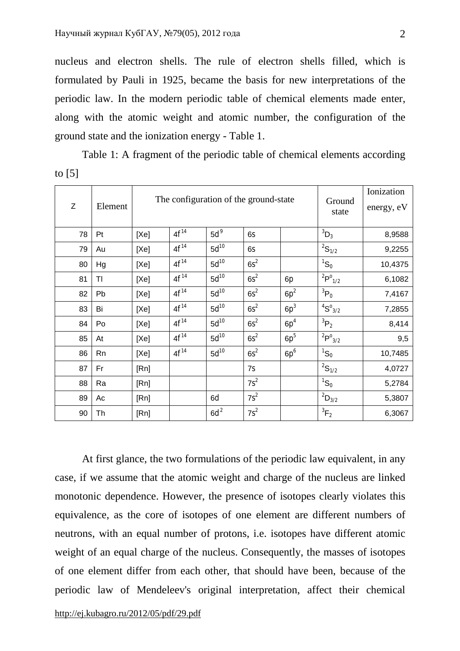nucleus and electron shells. The rule of electron shells filled, which is formulated by Pauli in 1925, became the basis for new interpretations of the periodic law. In the modern periodic table of chemical elements made enter, along with the atomic weight and atomic number, the configuration of the ground state and the ionization energy - Table 1.

Table 1: A fragment of the periodic table of chemical elements according to [5]

| Z  | Element | The configuration of the ground-state |           |           |        |        | Ground<br>state                     | Ionization<br>energy, eV |
|----|---------|---------------------------------------|-----------|-----------|--------|--------|-------------------------------------|--------------------------|
| 78 | Pt      | [Xe]                                  | $4f^{14}$ | $5d^9$    | 6s     |        | ${}^3D_3$                           | 8,9588                   |
| 79 | Au      | [Xe]                                  | $4f^{14}$ | $5d^{10}$ | 6s     |        | ${}^{2}S_{1/2}$                     | 9,2255                   |
| 80 | Hg      | [Xe]                                  | $4f^{14}$ | $5d^{10}$ | $6s^2$ |        | $\mathrm{^{1}S_{0}}$                | 10,4375                  |
| 81 | TI      | [Xe]                                  | $4f^{14}$ | $5d^{10}$ | $6s^2$ | 6p     | $^{2}P^{0}_{1/2}$                   | 6,1082                   |
| 82 | Pb      | [Xe]                                  | $4f^{14}$ | $5d^{10}$ | $6s^2$ | $6p^2$ | $^{3}P_0$                           | 7,4167                   |
| 83 | Bi      | [Xe]                                  | $4f^{14}$ | $5d^{10}$ | $6s^2$ | $6p^3$ | $\mathrm{^{4}S^{o}}_{\mathrm{3/2}}$ | 7,2855                   |
| 84 | Po      | [Xe]                                  | $4f^{14}$ | $5d^{10}$ | $6s^2$ | $6p^4$ | ${}^{3}P_{2}$                       | 8,414                    |
| 85 | At      | [Xe]                                  | $4f^{14}$ | $5d^{10}$ | $6s^2$ | $6p^5$ | $^{2}P^{0}_{3/2}$                   | 9,5                      |
| 86 | Rn      | [Xe]                                  | $4f^{14}$ | $5d^{10}$ | $6s^2$ | $6p^6$ | $\mathrm{^{1}S_{0}}$                | 10,7485                  |
| 87 | Fr      | [Rn]                                  |           |           | 7s     |        | ${}^{2}S_{1/2}$                     | 4,0727                   |
| 88 | Ra      | [Rn]                                  |           |           | $7s^2$ |        | ${}^{1}S_{0}$                       | 5,2784                   |
| 89 | Ac      | [Rn]                                  |           | 6d        | $7s^2$ |        | $^{2}D_{3/2}$                       | 5,3807                   |
| 90 | Th      | [Rn]                                  |           | $6d^2$    | $7s^2$ |        | ${}^3F_2$                           | 6,3067                   |

At first glance, the two formulations of the periodic law equivalent, in any case, if we assume that the atomic weight and charge of the nucleus are linked monotonic dependence. However, the presence of isotopes clearly violates this equivalence, as the core of isotopes of one element are different numbers of neutrons, with an equal number of protons, i.e. isotopes have different atomic weight of an equal charge of the nucleus. Consequently, the masses of isotopes of one element differ from each other, that should have been, because of the periodic law of Mendeleev's original interpretation, affect their chemical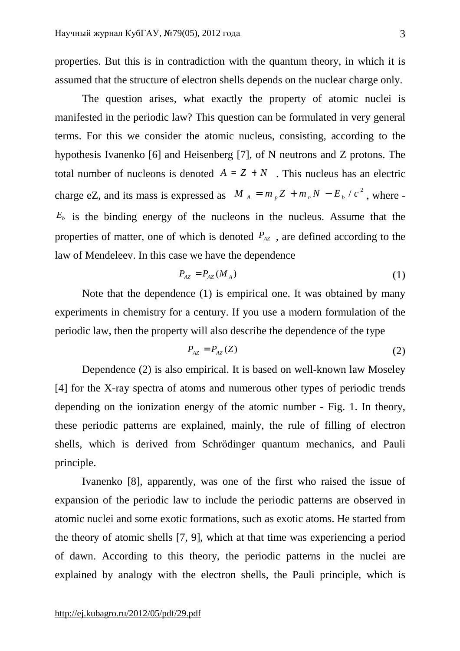properties. But this is in contradiction with the quantum theory, in which it is assumed that the structure of electron shells depends on the nuclear charge only.

The question arises, what exactly the property of atomic nuclei is manifested in the periodic law? This question can be formulated in very general terms. For this we consider the atomic nucleus, consisting, according to the hypothesis Ivanenko [6] and Heisenberg [7], of N neutrons and Z protons. The total number of nucleons is denoted  $A = Z + N$ . This nucleus has an electric charge eZ, and its mass is expressed as  $M_A = m_p Z + m_n N - E_b / c^2$ , where - $E<sub>b</sub>$  is the binding energy of the nucleons in the nucleus. Assume that the properties of matter, one of which is denoted  $P_{AZ}$ , are defined according to the law of Mendeleev. In this case we have the dependence

$$
P_{AZ} = P_{AZ}(M_A) \tag{1}
$$

Note that the dependence (1) is empirical one. It was obtained by many experiments in chemistry for a century. If you use a modern formulation of the periodic law, then the property will also describe the dependence of the type

$$
P_{AZ} = P_{AZ}(Z) \tag{2}
$$

Dependence (2) is also empirical. It is based on well-known law Moseley [4] for the X-ray spectra of atoms and numerous other types of periodic trends depending on the ionization energy of the atomic number - Fig. 1. In theory, these periodic patterns are explained, mainly, the rule of filling of electron shells, which is derived from Schrödinger quantum mechanics, and Pauli principle.

Ivanenko [8], apparently, was one of the first who raised the issue of expansion of the periodic law to include the periodic patterns are observed in atomic nuclei and some exotic formations, such as exotic atoms. He started from the theory of atomic shells [7, 9], which at that time was experiencing a period of dawn. According to this theory, the periodic patterns in the nuclei are explained by analogy with the electron shells, the Pauli principle, which is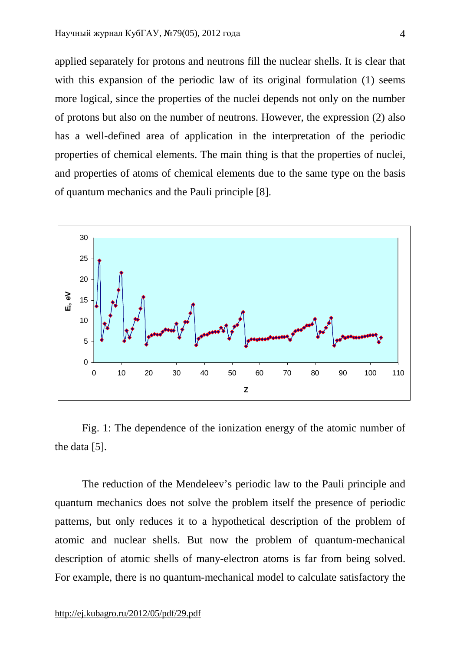applied separately for protons and neutrons fill the nuclear shells. It is clear that with this expansion of the periodic law of its original formulation (1) seems more logical, since the properties of the nuclei depends not only on the number of protons but also on the number of neutrons. However, the expression (2) also has a well-defined area of application in the interpretation of the periodic properties of chemical elements. The main thing is that the properties of nuclei, and properties of atoms of chemical elements due to the same type on the basis of quantum mechanics and the Pauli principle [8].



Fig. 1: The dependence of the ionization energy of the atomic number of the data [5].

The reduction of the Mendeleev's periodic law to the Pauli principle and quantum mechanics does not solve the problem itself the presence of periodic patterns, but only reduces it to a hypothetical description of the problem of atomic and nuclear shells. But now the problem of quantum-mechanical description of atomic shells of many-electron atoms is far from being solved. For example, there is no quantum-mechanical model to calculate satisfactory the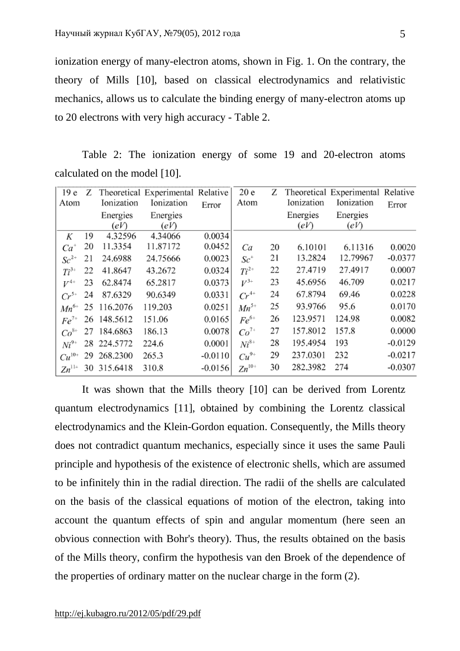ionization energy of many-electron atoms, shown in Fig. 1. On the contrary, the theory of Mills [10], based on classical electrodynamics and relativistic mechanics, allows us to calculate the binding energy of many-electron atoms up to 20 electrons with very high accuracy - Table 2.

Table 2: The ionization energy of some 19 and 20-electron atoms calculated on the model [10].

| 19 <sub>e</sub> | Ζ  |             | Theoretical Experimental Relative |           | 20e                  | Ζ  |            | Theoretical Experimental Relative |           |
|-----------------|----|-------------|-----------------------------------|-----------|----------------------|----|------------|-----------------------------------|-----------|
| Atom            |    | Ionization  | Ionization                        | Error     | Atom                 |    | Ionization | Ionization                        | Error     |
|                 |    | Energies    | Energies                          |           |                      |    | Energies   | Energies                          |           |
|                 |    | (eV)        | (eV)                              |           |                      |    | (eV)       | (eV)                              |           |
| Κ               | 19 | 4.32596     | 4.34066                           | 0.0034    |                      |    |            |                                   |           |
| $Ca^{+}$        | 20 | 11.3354     | 11.87172                          | 0.0452    | Ca                   | 20 | 6.10101    | 6.11316                           | 0.0020    |
| $Sc^{2+}$       | 21 | 24.6988     | 24.75666                          | 0.0023    | $Sc^+$               | 21 | 13.2824    | 12.79967                          | $-0.0377$ |
| $Ti^{3+}$       | 22 | 41.8647     | 43.2672                           | 0.0324    | $Ti^{2+}$            | 22 | 27.4719    | 27.4917                           | 0.0007    |
| $V^{4+}$        | 23 | 62.8474     | 65.2817                           | 0.0373    | $V^{3+}$             | 23 | 45.6956    | 46.709                            | 0.0217    |
| $Cr^{5+}$       | 24 | 87.6329     | 90.6349                           | 0.0331    | $\overline{Cr}^{4+}$ | 24 | 67.8794    | 69.46                             | 0.0228    |
| $Mn^{6+}$       | 25 | 116.2076    | 119.203                           | 0.0251    | $Mn^{5+}$            | 25 | 93.9766    | 95.6                              | 0.0170    |
| $Fe^{7+}$       |    | 26 148.5612 | 151.06                            | 0.0165    | $Fe^{6+}$            | 26 | 123.9571   | 124.98                            | 0.0082    |
| $Co^{8+}$       | 27 | 184.6863    | 186.13                            | 0.0078    | $Co^{7+}$            | 27 | 157.8012   | 157.8                             | 0.0000    |
| $Ni^{9+}$       |    | 28 224.5772 | 224.6                             | 0.0001    | $Ni^{8+}$            | 28 | 195.4954   | 193                               | $-0.0129$ |
| $Cu^{10+}$      | 29 | 268.2300    | 265.3                             | $-0.0110$ | $Cu^{9+}$            | 29 | 237.0301   | 232                               | $-0.0217$ |
| $Zn^{11+}$      |    | 30 315.6418 | 310.8                             | $-0.0156$ | $Zn^{10+}$           | 30 | 282.3982   | 274                               | $-0.0307$ |

It was shown that the Mills theory [10] can be derived from Lorentz quantum electrodynamics [11], obtained by combining the Lorentz classical electrodynamics and the Klein-Gordon equation. Consequently, the Mills theory does not contradict quantum mechanics, especially since it uses the same Pauli principle and hypothesis of the existence of electronic shells, which are assumed to be infinitely thin in the radial direction. The radii of the shells are calculated on the basis of the classical equations of motion of the electron, taking into account the quantum effects of spin and angular momentum (here seen an obvious connection with Bohr's theory). Thus, the results obtained on the basis of the Mills theory, confirm the hypothesis van den Broek of the dependence of the properties of ordinary matter on the nuclear charge in the form (2).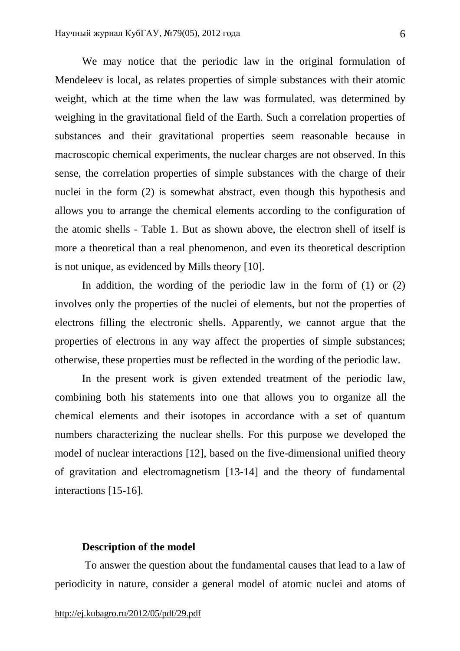We may notice that the periodic law in the original formulation of Mendeleev is local, as relates properties of simple substances with their atomic weight, which at the time when the law was formulated, was determined by weighing in the gravitational field of the Earth. Such a correlation properties of substances and their gravitational properties seem reasonable because in macroscopic chemical experiments, the nuclear charges are not observed. In this sense, the correlation properties of simple substances with the charge of their nuclei in the form (2) is somewhat abstract, even though this hypothesis and allows you to arrange the chemical elements according to the configuration of the atomic shells - Table 1. But as shown above, the electron shell of itself is more a theoretical than a real phenomenon, and even its theoretical description is not unique, as evidenced by Mills theory [10].

In addition, the wording of the periodic law in the form of (1) or (2) involves only the properties of the nuclei of elements, but not the properties of electrons filling the electronic shells. Apparently, we cannot argue that the properties of electrons in any way affect the properties of simple substances; otherwise, these properties must be reflected in the wording of the periodic law.

In the present work is given extended treatment of the periodic law, combining both his statements into one that allows you to organize all the chemical elements and their isotopes in accordance with a set of quantum numbers characterizing the nuclear shells. For this purpose we developed the model of nuclear interactions [12], based on the five-dimensional unified theory of gravitation and electromagnetism [13-14] and the theory of fundamental interactions [15-16].

## **Description of the model**

To answer the question about the fundamental causes that lead to a law of periodicity in nature, consider a general model of atomic nuclei and atoms of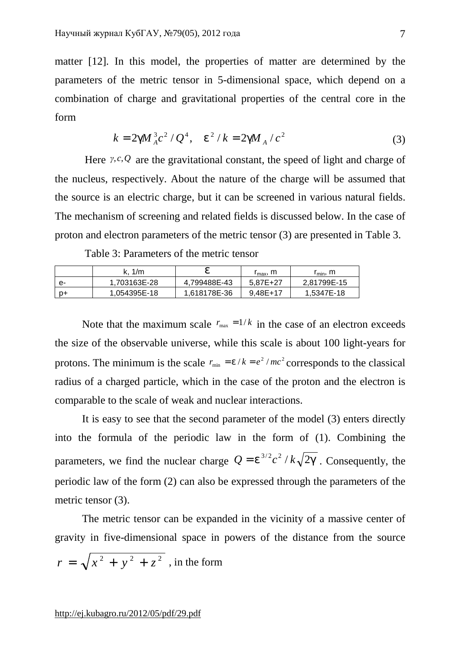matter [12]. In this model, the properties of matter are determined by the parameters of the metric tensor in 5-dimensional space, which depend on a combination of charge and gravitational properties of the central core in the form

$$
k = 2gM_A^3c^2/Q^4, \quad e^2/k = 2gM_A/c^2 \tag{3}
$$

Here *γ*,*c*,*Q* are the gravitational constant, the speed of light and charge of the nucleus, respectively. About the nature of the charge will be assumed that the source is an electric charge, but it can be screened in various natural fields. The mechanism of screening and related fields is discussed below. In the case of proton and electron parameters of the metric tensor (3) are presented in Table 3.

Table 3: Parameters of the metric tensor

|      |              |              | $r_{\text{max}}$ , m | $r_{\min}$ , m |
|------|--------------|--------------|----------------------|----------------|
| е-   | 1.703163E-28 | 4.799488E-43 | 5.87E+27             | 2.81799E-15    |
| . p+ | 1.054395E-18 | 1.618178E-36 | $9.48E+17$           | 1.5347E-18     |

Note that the maximum scale  $r_{\text{max}} = 1/k$  in the case of an electron exceeds the size of the observable universe, while this scale is about 100 light-years for protons. The minimum is the scale  $r_{min} = e/k = e^2/mc^2$  corresponds to the classical radius of a charged particle, which in the case of the proton and the electron is comparable to the scale of weak and nuclear interactions.

It is easy to see that the second parameter of the model (3) enters directly into the formula of the periodic law in the form of (1). Combining the parameters, we find the nuclear charge  $Q = e^{3/2} c^2 / k \sqrt{2g}$ . Consequently, the periodic law of the form (2) can also be expressed through the parameters of the metric tensor  $(3)$ .

The metric tensor can be expanded in the vicinity of a massive center of gravity in five-dimensional space in powers of the distance from the source  $r = \sqrt{x^2 + y^2 + z^2}$ , in the form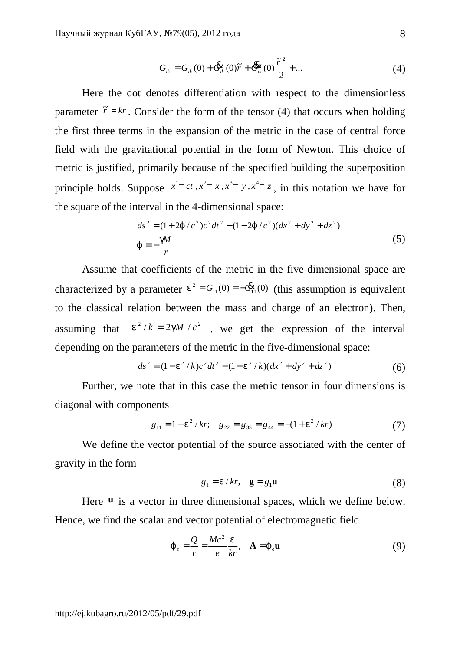$$
G_{ik} = G_{ik}(0) + \mathbf{G}_{ik}^{2}(0)\tilde{r} + \mathbf{G}_{ik}^{2}(0)\frac{\tilde{r}^{2}}{2} + ...
$$
 (4)

Here the dot denotes differentiation with respect to the dimensionless parameter  $\tilde{r} = kr$ . Consider the form of the tensor (4) that occurs when holding the first three terms in the expansion of the metric in the case of central force field with the gravitational potential in the form of Newton. This choice of metric is justified, primarily because of the specified building the superposition principle holds. Suppose  $x^1 = ct$ ,  $x^2 = x$ ,  $x^3 = y$ ,  $x^4 = z$ , in this notation we have for the square of the interval in the 4-dimensional space:

$$
ds^{2} = (1+2j/c^{2})c^{2}dt^{2} - (1-2j/c^{2})(dx^{2} + dy^{2} + dz^{2})
$$
  
\n
$$
j = -\frac{gM}{r}
$$
 (5)

Assume that coefficients of the metric in the five-dimensional space are characterized by a parameter  $e^2 = G_{11}(0) = -\mathbf{G}_{11}(0)$  $e^2 = G_{11}(0) = -\mathbf{E}_{11}(0)$  (this assumption is equivalent to the classical relation between the mass and charge of an electron). Then, assuming that  $e^2/k = 2gM/c^2$ , we get the expression of the interval depending on the parameters of the metric in the five-dimensional space:

$$
ds^{2} = (1 - e^{2} / k)c^{2}dt^{2} - (1 + e^{2} / k)(dx^{2} + dy^{2} + dz^{2})
$$
 (6)

Further, we note that in this case the metric tensor in four dimensions is diagonal with components

$$
g_{11} = 1 - e^2 / kr
$$
;  $g_{22} = g_{33} = g_{44} = -(1 + e^2 / kr)$  (7)

We define the vector potential of the source associated with the center of gravity in the form

$$
g_1 = e/kr, \quad \mathbf{g} = g_1 \mathbf{u} \tag{8}
$$

Here **u** is a vector in three dimensional spaces, which we define below. Hence, we find the scalar and vector potential of electromagnetic field

$$
\dot{J}_e = \frac{Q}{r} = \frac{Mc^2}{e} \frac{e}{kr}, \quad A = j_e \mathbf{u}
$$
 (9)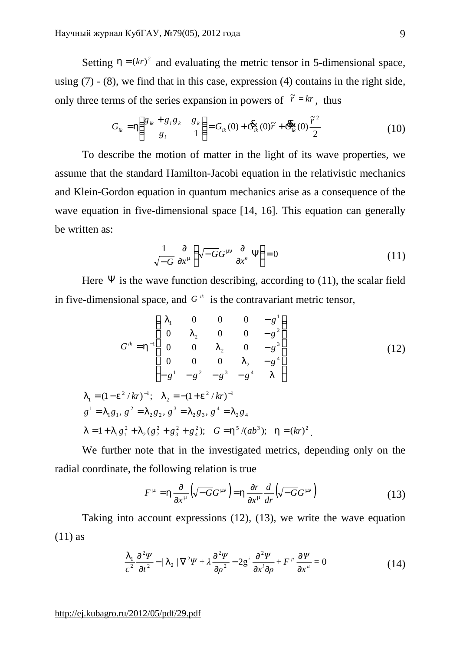Setting  $h = (kr)^2$  and evaluating the metric tensor in 5-dimensional space, using (7) - (8), we find that in this case, expression (4) contains in the right side, only three terms of the series expansion in powers of  $\tilde{r} = kr$ , thus

$$
G_{ik} = h \left( \begin{array}{cc} g_{ik} + g_i g_k & g_k \\ g_i & 1 \end{array} \right) = G_{ik}(0) + \mathbf{G}_{ik}(0)\tilde{r} + \mathbf{G}_{ik}(0)\frac{\tilde{r}^2}{2} \tag{10}
$$

To describe the motion of matter in the light of its wave properties, we assume that the standard Hamilton-Jacobi equation in the relativistic mechanics and Klein-Gordon equation in quantum mechanics arise as a consequence of the wave equation in five-dimensional space [14, 16]. This equation can generally be written as:

$$
\frac{1}{\sqrt{-G}} \frac{\partial}{\partial x^m} \left( \sqrt{-G} G^{mn} \frac{\partial}{\partial x^n} \Psi \right) = 0 \tag{11}
$$

Here  $\Psi$  is the wave function describing, according to (11), the scalar field in five-dimensional space, and  $G^*$  is the contravariant metric tensor,

$$
G^{ik} = h^{-1} \begin{pmatrix} I_1 & 0 & 0 & 0 & -g^1 \\ 0 & I_2 & 0 & 0 & -g^2 \\ 0 & 0 & I_2 & 0 & -g^3 \\ 0 & 0 & 0 & I_2 & -g^4 \\ -g^1 & -g^2 & -g^3 & -g^4 & I \end{pmatrix}
$$
(12)  

$$
I_1 = (1 - e^2 / kr)^{-1}; \quad I_2 = -(1 + e^2 / kr)^{-1}
$$

$$
g^1 = I_1 g_1, g^2 = I_2 g_2, g^3 = I_2 g_3, g^4 = I_2 g_4
$$

$$
I = 1 + I_1 g_1^2 + I_2 (g_2^2 + g_3^2 + g_4^2); \quad G = h^5 / (ab^3); \quad h = (kr)^2.
$$

We further note that in the investigated metrics, depending only on the radial coordinate, the following relation is true

$$
F^{\,m} = h \frac{\partial}{\partial x^{\,m}} \left( \sqrt{-G} G^{\,mn} \right) = h \frac{\partial r}{\partial x^{\,m}} \frac{d}{dr} \left( \sqrt{-G} G^{\,mn} \right) \tag{13}
$$

Taking into account expressions (12), (13), we write the wave equation  $(11)$  as

$$
\frac{I_1}{c^2} \frac{\partial^2 \Psi}{\partial t^2} - \frac{I_2}{\nabla^2 \Psi + \lambda \frac{\partial^2 \Psi}{\partial \rho^2} - 2g^i \frac{\partial^2 \Psi}{\partial x^i \partial \rho} + F^\mu \frac{\partial \Psi}{\partial x^\mu} = 0
$$
\n(14)

 $g^1$ 

 $I_{1}$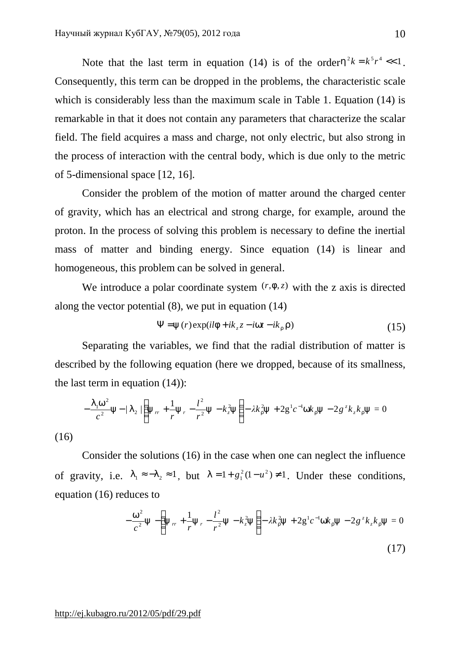Note that the last term in equation (14) is of the order  $h^2k = k^5r^4 \ll 1$ . Consequently, this term can be dropped in the problems, the characteristic scale which is considerably less than the maximum scale in Table 1. Equation (14) is remarkable in that it does not contain any parameters that characterize the scalar field. The field acquires a mass and charge, not only electric, but also strong in the process of interaction with the central body, which is due only to the metric of 5-dimensional space [12, 16].

Consider the problem of the motion of matter around the charged center of gravity, which has an electrical and strong charge, for example, around the proton. In the process of solving this problem is necessary to define the inertial mass of matter and binding energy. Since equation (14) is linear and homogeneous, this problem can be solved in general.

We introduce a polar coordinate system  $(r, f, z)$  with the z axis is directed along the vector potential (8), we put in equation (14)

$$
\Psi = y(r) \exp(i l f + i k_z z - i w t - i k_r r)
$$
\n(15)

Separating the variables, we find that the radial distribution of matter is described by the following equation (here we dropped, because of its smallness, the last term in equation (14)):

$$
-\frac{I_1 w^2}{c^2} y - \frac{I_2}{r} \left( y_r + \frac{1}{r} y_r - \frac{l^2}{r^2} y - k_z^2 y \right) - \lambda k_r^2 y + 2 g^1 c^{-1} w k_r y - 2 g^2 k_z k_r y = 0
$$

(16)

Consider the solutions (16) in the case when one can neglect the influence of gravity, i.e.  $l_1 \approx -l_2 \approx 1$ , but  $l = 1 + g_1^2 (1 - u^2) \neq 1$ . Under these conditions, equation (16) reduces to

$$
-\frac{w^2}{c^2}y - \left(y_{rr} + \frac{1}{r}y_r - \frac{l^2}{r^2}y - k_z^2y\right) - \lambda k_r^2y + 2g^1c^{-1}wk_ry - 2g^2k_zk_ry = 0
$$
\n(17)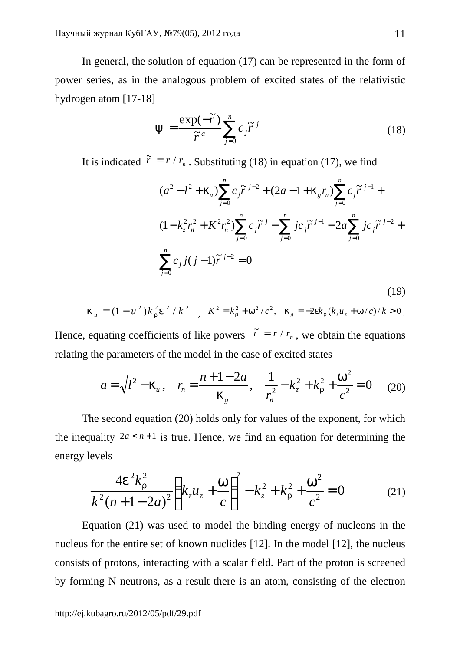In general, the solution of equation (17) can be represented in the form of power series, as in the analogous problem of excited states of the relativistic hydrogen atom [17-18]

$$
y = \frac{\exp(-\widetilde{r})}{\widetilde{r}^a} \sum_{j=0}^n c_j \widetilde{r}^j
$$
 (18)

It is indicated  $\tilde{r} = r / r_n$ . Substituting (18) in equation (17), we find

$$
(a^{2} - l^{2} + k_{u}) \sum_{j=0}^{n} c_{j} \tilde{r}^{j-2} + (2a - 1 + k_{g} r_{n}) \sum_{j=0}^{n} c_{j} \tilde{r}^{j-1} +
$$
  
\n
$$
(1 - k_{z}^{2} r_{n}^{2} + K^{2} r_{n}^{2}) \sum_{j=0}^{n} c_{j} \tilde{r}^{j} - \sum_{j=0}^{n} j c_{j} \tilde{r}^{j-1} - 2a \sum_{j=0}^{n} j c_{j} \tilde{r}^{j-2} +
$$
  
\n
$$
\sum_{j=0}^{n} c_{j} j(j-1) \tilde{r}^{j-2} = 0
$$
\n(19)

$$
k_{u} = (1 - u^{2})k_{r}^{2}e^{2} / k^{2} , K^{2} = k_{r}^{2} + w^{2}/c^{2}, k_{g} = -2ek_{r}(k_{z}u_{z} + w/c)/k > 0.
$$

Hence, equating coefficients of like powers  $\tilde{r} = r / r_n$ , we obtain the equations relating the parameters of the model in the case of excited states

$$
a = \sqrt{l^2 - k_u}, \quad r_n = \frac{n + 1 - 2a}{k_g}, \quad \frac{1}{r_n^2} - k_z^2 + k_r^2 + \frac{w^2}{c^2} = 0 \quad (20)
$$

The second equation (20) holds only for values of the exponent, for which the inequality  $2a \le n+1$  is true. Hence, we find an equation for determining the energy levels

$$
\frac{4e^2k_r^2}{k^2(n+1-2a)^2}\left(k_zu_z+\frac{w}{c}\right)^2-k_z^2+k_r^2+\frac{w^2}{c^2}=0\tag{21}
$$

Equation (21) was used to model the binding energy of nucleons in the nucleus for the entire set of known nuclides [12]. In the model [12], the nucleus consists of protons, interacting with a scalar field. Part of the proton is screened by forming N neutrons, as a result there is an atom, consisting of the electron

### <http://ej.kubagro.ru/2012/05/pdf/29.pdf>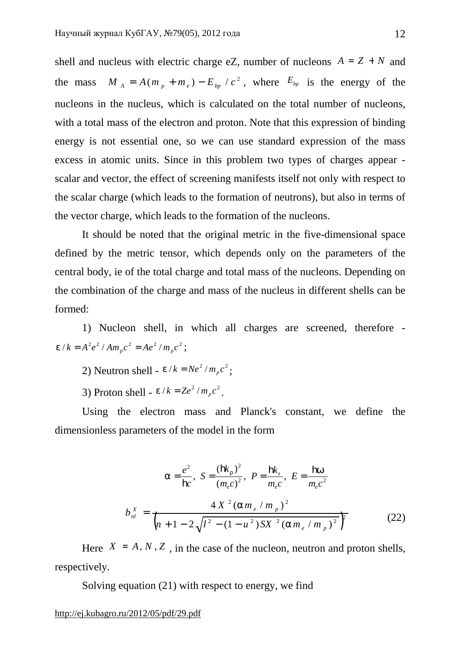shell and nucleus with electric charge eZ, number of nucleons  $A = Z + N$  and the mass  $M_A = A(m_p + m_e) - E_{bp} / c^2$ , where  $E_{bp}$  is the energy of the nucleons in the nucleus, which is calculated on the total number of nucleons, with a total mass of the electron and proton. Note that this expression of binding energy is not essential one, so we can use standard expression of the mass excess in atomic units. Since in this problem two types of charges appear scalar and vector, the effect of screening manifests itself not only with respect to the scalar charge (which leads to the formation of neutrons), but also in terms of the vector charge, which leads to the formation of the nucleons.

It should be noted that the original metric in the five-dimensional space defined by the metric tensor, which depends only on the parameters of the central body, ie of the total charge and total mass of the nucleons. Depending on the combination of the charge and mass of the nucleus in different shells can be formed:

1) Nucleon shell, in which all charges are screened, therefore  $e/k = A^2 e^2 / A m_p c^2 = A e^2 / m_p c^2;$ 

- 2) Neutron shell  $e/k = Ne^2/m_p c^2$ ;
- 3) Proton shell  $e/k = Ze^2/m_p c^2$ .

Using the electron mass and Planck's constant, we define the dimensionless parameters of the model in the form

$$
a = \frac{e^2}{\mathbf{h}c}, \ S = \frac{(\mathbf{h}k_r)^2}{(m_e c)^2}, \ P = \frac{\mathbf{h}k_z}{m_e c}, \ E = \frac{\mathbf{h}w}{m_e c^2}
$$
  

$$
b_{nl}^X = \frac{4 X^2 (a m_e / m_p)^2}{\left(n + 1 - 2\sqrt{l^2 - (1 - u^2)SX^2 (a m_e / m_p)^2}\right)^2}
$$
(22)

Here  $X = A, N, Z$ , in the case of the nucleon, neutron and proton shells, respectively.

Solving equation (21) with respect to energy, we find

<http://ej.kubagro.ru/2012/05/pdf/29.pdf>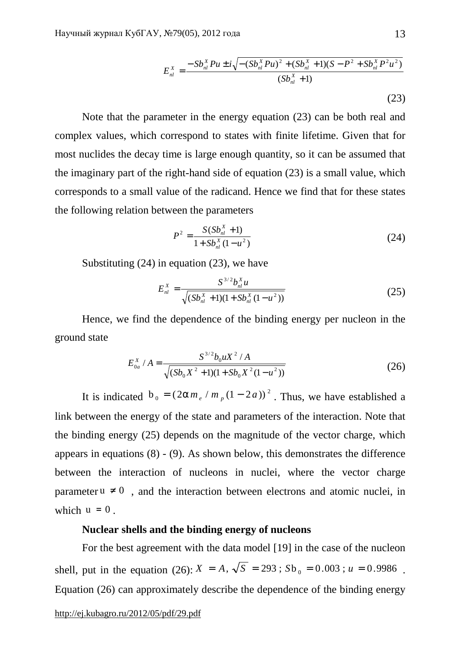$$
E_{nl}^{X} = \frac{-Sb_{nl}^{X}Pu \pm i\sqrt{-\left(Sb_{nl}^{X}Pu\right)^{2} + \left(Sb_{nl}^{X} + 1\right)\left(S - P^{2} + Sb_{nl}^{X}P^{2}u^{2}\right)}}{\left(Sb_{nl}^{X} + 1\right)}
$$
\n(23)

Note that the parameter in the energy equation (23) can be both real and complex values, which correspond to states with finite lifetime. Given that for most nuclides the decay time is large enough quantity, so it can be assumed that the imaginary part of the right-hand side of equation (23) is a small value, which corresponds to a small value of the radicand. Hence we find that for these states the following relation between the parameters

$$
P^{2} = \frac{S(Sb_{nl}^{X} + 1)}{1 + Sb_{nl}^{X}(1 - u^{2})}
$$
 (24)

Substituting (24) in equation (23), we have

$$
E_{nl}^{X} = \frac{S^{3/2}b_{nl}^{X}u}{\sqrt{(Sb_{nl}^{X} + 1)(1 + Sb_{nl}^{X}(1 - u^{2}))}}
$$
(25)

Hence, we find the dependence of the binding energy per nucleon in the ground state

$$
E_{0a}^{X} / A = \frac{S^{3/2} b_0 u X^2 / A}{\sqrt{(S b_0 X^2 + 1)(1 + S b_0 X^2 (1 - u^2))}}
$$
(26)

It is indicated  $b_0 = (2am_e/m_p(1-2a))^2$ . Thus, we have established a link between the energy of the state and parameters of the interaction. Note that the binding energy (25) depends on the magnitude of the vector charge, which appears in equations (8) - (9). As shown below, this demonstrates the difference between the interaction of nucleons in nuclei, where the vector charge parameter  $u \neq 0$ , and the interaction between electrons and atomic nuclei, in which  $u = 0$ .

### **Nuclear shells and the binding energy of nucleons**

For the best agreement with the data model [19] in the case of the nucleon shell, put in the equation (26):  $X = A$ ,  $\sqrt{S} = 293$ ;  $Sb_0 = 0.003$ ;  $u = 0.9986$ . Equation (26) can approximately describe the dependence of the binding energy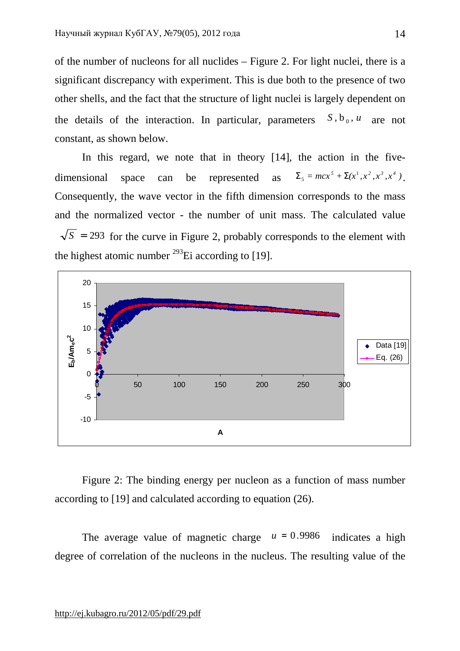of the number of nucleons for all nuclides – Figure 2. For light nuclei, there is a significant discrepancy with experiment. This is due both to the presence of two other shells, and the fact that the structure of light nuclei is largely dependent on the details of the interaction. In particular, parameters  $S, b_0, u$  are not constant, as shown below.

In this regard, we note that in theory [14], the action in the fivedimensional space can be represented as  $\Sigma_5 = mcx^5 + \Sigma(x^1, x^2, x^3, x^4)$ . Consequently, the wave vector in the fifth dimension corresponds to the mass and the normalized vector - the number of unit mass. The calculated value  $\sqrt{s}$  = 293 for the curve in Figure 2, probably corresponds to the element with the highest atomic number  $^{293}$ Ei according to [19].



Figure 2: The binding energy per nucleon as a function of mass number according to [19] and calculated according to equation (26).

The average value of magnetic charge  $u = 0.9986$  indicates a high degree of correlation of the nucleons in the nucleus. The resulting value of the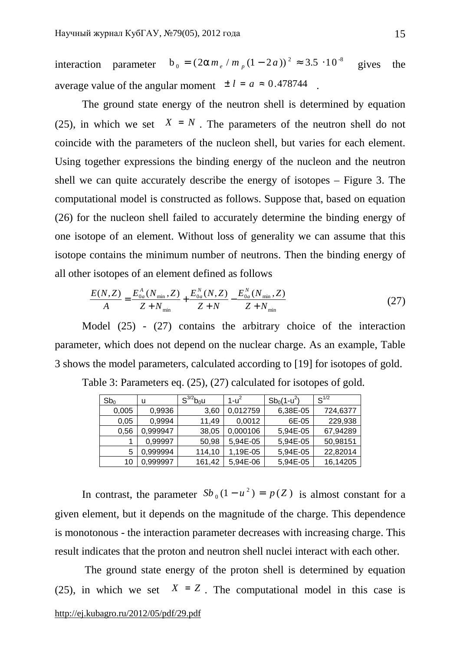interaction parameter  $b_0 = (2am_e/m_p(1-2a))^2 \approx 3.5 \cdot 10^{-8}$  gives the average value of the angular moment  $\pm l = a \approx 0.478744$ 

The ground state energy of the neutron shell is determined by equation (25), in which we set  $X = N$ . The parameters of the neutron shell do not coincide with the parameters of the nucleon shell, but varies for each element. Using together expressions the binding energy of the nucleon and the neutron shell we can quite accurately describe the energy of isotopes – Figure 3. The computational model is constructed as follows. Suppose that, based on equation (26) for the nucleon shell failed to accurately determine the binding energy of one isotope of an element. Without loss of generality we can assume that this isotope contains the minimum number of neutrons. Then the binding energy of all other isotopes of an element defined as follows

$$
\frac{E(N,Z)}{A} = \frac{E_{0a}^{A}(N_{\min},Z)}{Z+N_{\min}} + \frac{E_{0a}^{N}(N,Z)}{Z+N} - \frac{E_{0a}^{N}(N_{\min},Z)}{Z+N_{\min}}
$$
(27)

Model (25) - (27) contains the arbitrary choice of the interaction parameter, which does not depend on the nuclear charge. As an example, Table 3 shows the model parameters, calculated according to [19] for isotopes of gold.

| Sb <sub>0</sub> | u        | $S^{3/2}b_0u$ | $1 - u2$ | $Sb_0(1-u^2)$ | $S^{1/2}$ |
|-----------------|----------|---------------|----------|---------------|-----------|
| 0,005           | 0,9936   | 3,60          | 0,012759 | 6,38E-05      | 724,6377  |
| 0.05            | 0.9994   | 11.49         | 0,0012   | 6E-05         | 229,938   |
| 0,56            | 0.999947 | 38,05         | 0.000106 | 5,94E-05      | 67,94289  |
|                 | 0.99997  | 50,98         | 5,94E-05 | 5,94E-05      | 50,98151  |
| 5               | 0.999994 | 114,10        | 1,19E-05 | 5,94E-05      | 22,82014  |
| 10              | 0,999997 | 161,42        | 5,94E-06 | 5,94E-05      | 16,14205  |

Table 3: Parameters eq. (25), (27) calculated for isotopes of gold.

In contrast, the parameter  $Sb_0(1 - u^2) = p(Z)$  is almost constant for a given element, but it depends on the magnitude of the charge. This dependence is monotonous - the interaction parameter decreases with increasing charge. This result indicates that the proton and neutron shell nuclei interact with each other.

<http://ej.kubagro.ru/2012/05/pdf/29.pdf> The ground state energy of the proton shell is determined by equation (25), in which we set  $X = Z$ . The computational model in this case is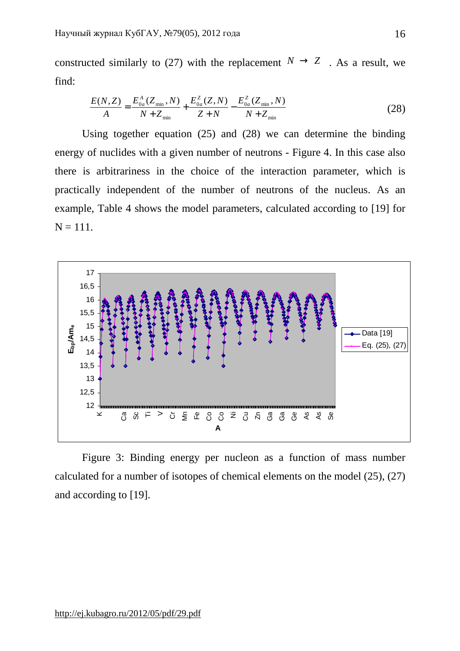constructed similarly to (27) with the replacement  $N \rightarrow Z$ . As a result, we find:

$$
\frac{E(N,Z)}{A} = \frac{E_{0a}^A (Z_{\min}, N)}{N + Z_{\min}} + \frac{E_{0a}^Z (Z, N)}{Z + N} - \frac{E_{0a}^Z (Z_{\min}, N)}{N + Z_{\min}} \tag{28}
$$

Using together equation (25) and (28) we can determine the binding energy of nuclides with a given number of neutrons - Figure 4. In this case also there is arbitrariness in the choice of the interaction parameter, which is practically independent of the number of neutrons of the nucleus. As an example, Table 4 shows the model parameters, calculated according to [19] for  $N = 111$ .



Figure 3: Binding energy per nucleon as a function of mass number calculated for a number of isotopes of chemical elements on the model (25), (27) and according to [19].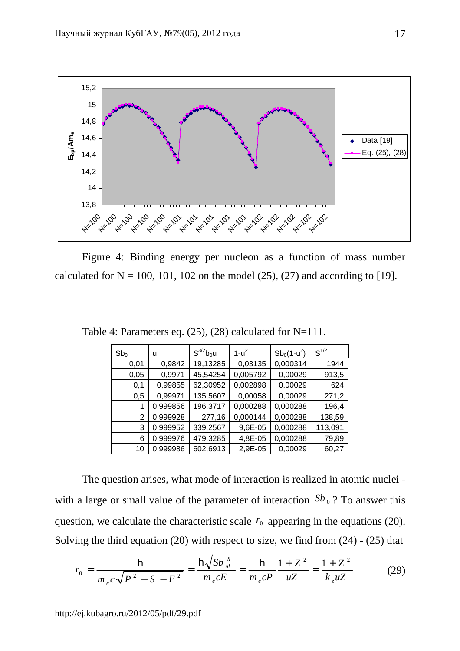

Figure 4: Binding energy per nucleon as a function of mass number calculated for  $N = 100$ , 101, 102 on the model (25), (27) and according to [19].

| Sb <sub>0</sub> | u        | $S^{3/2}b_0u$ | $1 - u^2$ | $Sb_0(1-u^2)$ | $S^{1/2}$ |
|-----------------|----------|---------------|-----------|---------------|-----------|
| 0,01            | 0,9842   | 19,13285      | 0,03135   | 0,000314      | 1944      |
| 0,05            | 0,9971   | 45,54254      | 0,005792  | 0,00029       | 913,5     |
| 0,1             | 0,99855  | 62,30952      | 0,002898  | 0,00029       | 624       |
| 0,5             | 0,99971  | 135,5607      | 0,00058   | 0,00029       | 271,2     |
|                 | 0,999856 | 196,3717      | 0,000288  | 0,000288      | 196,4     |
| 2               | 0,999928 | 277,16        | 0,000144  | 0,000288      | 138,59    |
| 3               | 0,999952 | 339,2567      | 9,6E-05   | 0,000288      | 113,091   |
| 6               | 0,999976 | 479,3285      | 4,8E-05   | 0,000288      | 79,89     |
| 10              | 0,999986 | 602,6913      | 2,9E-05   | 0,00029       | 60,27     |

Table 4: Parameters eq. (25), (28) calculated for N=111.

The question arises, what mode of interaction is realized in atomic nuclei with a large or small value of the parameter of interaction  $Sb_0$ ? To answer this question, we calculate the characteristic scale  $r_0$  appearing in the equations (20). Solving the third equation (20) with respect to size, we find from (24) - (25) that

$$
r_0 = \frac{\mathbf{h}}{m_e c \sqrt{P^2 - S - E^2}} = \frac{\mathbf{h} \sqrt{Sb \frac{X}{nl}}}{m_e c E} = \frac{\mathbf{h}}{m_e c P} \frac{1 + Z^2}{uZ} = \frac{1 + Z^2}{k_z uZ}
$$
(29)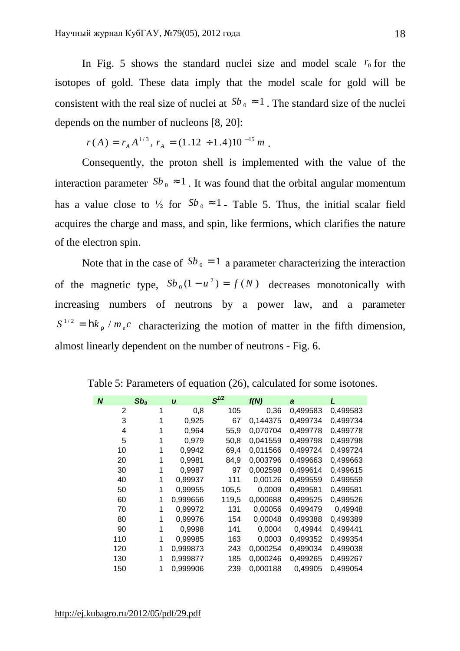In Fig. 5 shows the standard nuclei size and model scale  $r_0$  for the isotopes of gold. These data imply that the model scale for gold will be consistent with the real size of nuclei at  $Sb_0 \approx 1$ . The standard size of the nuclei depends on the number of nucleons [8, 20]:

$$
r(A) = r_A A^{1/3}, r_A = (1.12 \div 1.4) 10^{-15} m.
$$

Consequently, the proton shell is implemented with the value of the interaction parameter  $Sb_0 \approx 1$ . It was found that the orbital angular momentum has a value close to  $\frac{1}{2}$  for  $Sb_0 \approx 1$  - Table 5. Thus, the initial scalar field acquires the charge and mass, and spin, like fermions, which clarifies the nature of the electron spin.

Note that in the case of  $Sb_0 = 1$  a parameter characterizing the interaction of the magnetic type,  $Sb_0 (1 - u^2) = f(N)$  decreases monotonically with increasing numbers of neutrons by a power law, and a parameter  $S^{1/2} = \mathbf{h} k_r / m_e c$  characterizing the motion of matter in the fifth dimension, almost linearly dependent on the number of neutrons - Fig. 6.

| N   | Sb <sub>o</sub> | $\boldsymbol{u}$ | $S^{1/2}$ | f(N)     | a        | L        |
|-----|-----------------|------------------|-----------|----------|----------|----------|
| 2   | 1               | 0,8              | 105       | 0,36     | 0,499583 | 0,499583 |
| 3   |                 | 0,925            | 67        | 0,144375 | 0,499734 | 0,499734 |
| 4   |                 | 0,964            | 55,9      | 0.070704 | 0,499778 | 0,499778 |
| 5   | 1               | 0,979            | 50,8      | 0,041559 | 0,499798 | 0,499798 |
| 10  | 1               | 0,9942           | 69,4      | 0,011566 | 0,499724 | 0,499724 |
| 20  | 1               | 0,9981           | 84,9      | 0,003796 | 0,499663 | 0,499663 |
| 30  | 1               | 0,9987           | 97        | 0,002598 | 0,499614 | 0,499615 |
| 40  |                 | 0,99937          | 111       | 0,00126  | 0.499559 | 0,499559 |
| 50  | 1               | 0,99955          | 105,5     | 0,0009   | 0,499581 | 0,499581 |
| 60  | 1               | 0,999656         | 119,5     | 0,000688 | 0,499525 | 0,499526 |
| 70  | 1               | 0,99972          | 131       | 0,00056  | 0,499479 | 0,49948  |
| 80  | 1               | 0.99976          | 154       | 0,00048  | 0,499388 | 0,499389 |
| 90  | 1               | 0,9998           | 141       | 0,0004   | 0,49944  | 0,499441 |
| 110 | 1               | 0,99985          | 163       | 0,0003   | 0,499352 | 0,499354 |
| 120 | 1               | 0,999873         | 243       | 0,000254 | 0,499034 | 0,499038 |
| 130 | 1               | 0,999877         | 185       | 0,000246 | 0,499265 | 0,499267 |
| 150 | 1               | 0.999906         | 239       | 0,000188 | 0,49905  | 0,499054 |

Table 5: Parameters of equation (26), calculated for some isotones.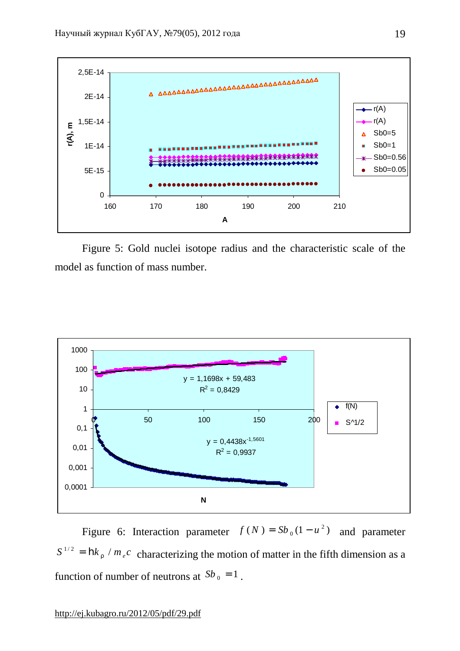

Figure 5: Gold nuclei isotope radius and the characteristic scale of the model as function of mass number.



Figure 6: Interaction parameter  $f(N) = Sb_0(1 - u^2)$  $f(N) = Sb_0(1 - u^2)$  and parameter  $S^{1/2} = \mathbf{h} k_r / m_e c$  characterizing the motion of matter in the fifth dimension as a function of number of neutrons at  $Sb_0 = 1$ .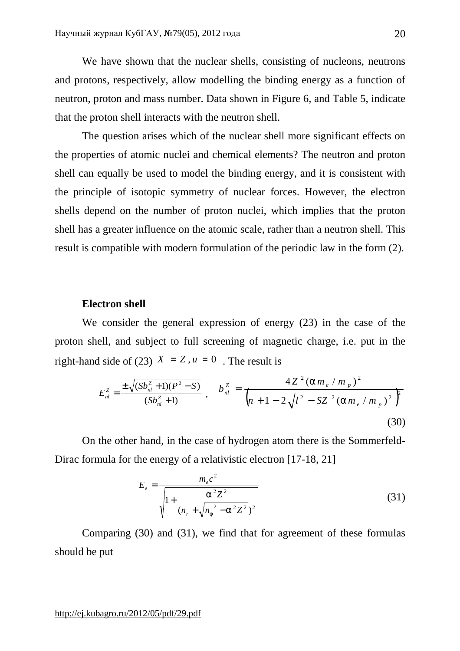We have shown that the nuclear shells, consisting of nucleons, neutrons and protons, respectively, allow modelling the binding energy as a function of neutron, proton and mass number. Data shown in Figure 6, and Table 5, indicate that the proton shell interacts with the neutron shell.

The question arises which of the nuclear shell more significant effects on the properties of atomic nuclei and chemical elements? The neutron and proton shell can equally be used to model the binding energy, and it is consistent with the principle of isotopic symmetry of nuclear forces. However, the electron shells depend on the number of proton nuclei, which implies that the proton shell has a greater influence on the atomic scale, rather than a neutron shell. This result is compatible with modern formulation of the periodic law in the form (2).

#### **Electron shell**

We consider the general expression of energy (23) in the case of the proton shell, and subject to full screening of magnetic charge, i.e. put in the right-hand side of (23)  $X = Z$ ,  $u = 0$ . The result is

$$
E_{nl}^{Z} = \frac{\pm \sqrt{(Sb_{nl}^{Z} + 1)(P^{2} - S)}}{(Sb_{nl}^{Z} + 1)}
$$
,  $b_{nl}^{Z} = \frac{4Z^{2}(am_{e} / m_{p})^{2}}{(n + 1 - 2\sqrt{I^{2} - SZ^{2}(am_{e} / m_{p})^{2}})^{2}}$ \n(30)

On the other hand, in the case of hydrogen atom there is the Sommerfeld-Dirac formula for the energy of a relativistic electron [17-18, 21]

$$
E_e = \frac{m_e c^2}{\sqrt{1 + \frac{a^2 Z^2}{(n_r + \sqrt{n_f^2 - a^2 Z^2})^2}}}
$$
(31)

Comparing (30) and (31), we find that for agreement of these formulas should be put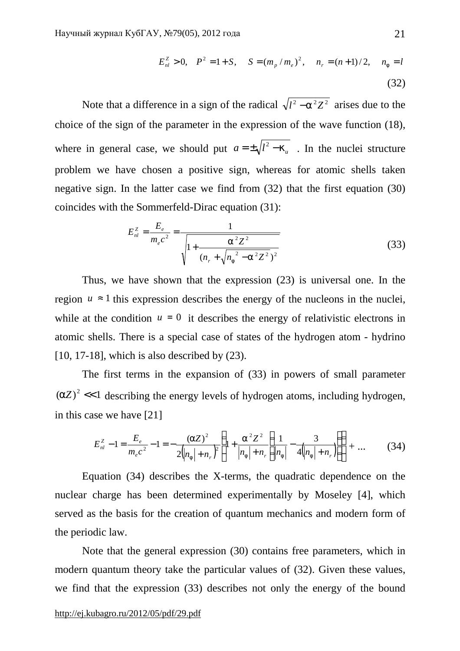$$
E_{nl}^{Z} > 0, \quad P^{2} = 1 + S, \quad S = (m_{p} / m_{e})^{2}, \quad n_{r} = (n+1)/2, \quad n_{f} = l
$$
\n(32)

Note that a difference in a sign of the radical  $\sqrt{l^2 - a^2 Z^2}$  arises due to the choice of the sign of the parameter in the expression of the wave function (18), where in general case, we should put  $a = \pm \sqrt{l^2 - k_u}$ . In the nuclei structure problem we have chosen a positive sign, whereas for atomic shells taken negative sign. In the latter case we find from (32) that the first equation (30) coincides with the Sommerfeld-Dirac equation (31):

$$
E_{nl}^{z} = \frac{E_e}{m_e c^2} = \frac{1}{\sqrt{1 + \frac{a^2 Z^2}{(n_r + \sqrt{n_f^2 - a^2 Z^2})^2}}}
$$
(33)

Thus, we have shown that the expression (23) is universal one. In the region  $u \approx 1$  this expression describes the energy of the nucleons in the nuclei, while at the condition  $u = 0$  it describes the energy of relativistic electrons in atomic shells. There is a special case of states of the hydrogen atom - hydrino  $[10, 17-18]$ , which is also described by  $(23)$ .

The first terms in the expansion of (33) in powers of small parameter  $(aZ)^2$  <<1 describing the energy levels of hydrogen atoms, including hydrogen, in this case we have [21]

$$
E_{nl}^{z} - 1 = \frac{E_e}{m_e c^2} - 1 = -\frac{(aZ)^2}{2\left(n_f + n_r\right)^2} \left(1 + \frac{a^2 Z^2}{\left|n_f + n_r\left(n_f + n_r\right)\right|}\left(\frac{1}{n_f} - \frac{3}{4\left(n_f + n_r\right)}\right)\right) + \dots \tag{34}
$$

Equation (34) describes the X-terms, the quadratic dependence on the nuclear charge has been determined experimentally by Moseley [4], which served as the basis for the creation of quantum mechanics and modern form of the periodic law.

Note that the general expression (30) contains free parameters, which in modern quantum theory take the particular values of (32). Given these values, we find that the expression (33) describes not only the energy of the bound

#### <http://ej.kubagro.ru/2012/05/pdf/29.pdf>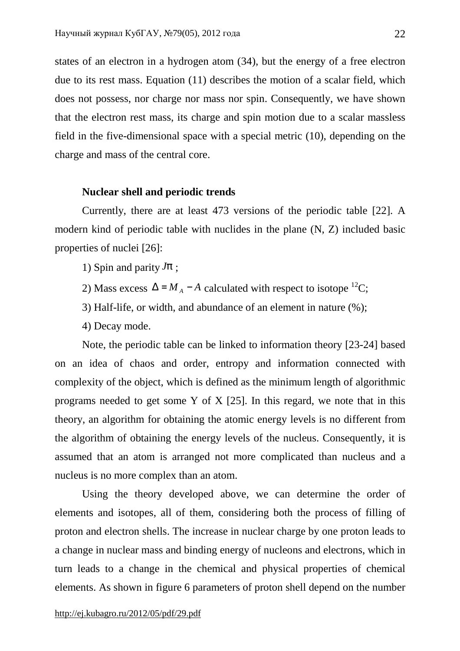states of an electron in a hydrogen atom (34), but the energy of a free electron due to its rest mass. Equation (11) describes the motion of a scalar field, which does not possess, nor charge nor mass nor spin. Consequently, we have shown that the electron rest mass, its charge and spin motion due to a scalar massless field in the five-dimensional space with a special metric (10), depending on the charge and mass of the central core.

#### **Nuclear shell and periodic trends**

Currently, there are at least 473 versions of the periodic table [22]. A modern kind of periodic table with nuclides in the plane (N, Z) included basic properties of nuclei [26]:

- 1) Spin and parity  $Jp$ :
- 2) Mass excess  $\Delta = M_A A$  calculated with respect to isotope <sup>12</sup>C;
- 3) Half-life, or width, and abundance of an element in nature (%);
- 4) Decay mode.

Note, the periodic table can be linked to information theory [23-24] based on an idea of chaos and order, entropy and information connected with complexity of the object, which is defined as the minimum length of algorithmic programs needed to get some Y of X [25]. In this regard, we note that in this theory, an algorithm for obtaining the atomic energy levels is no different from the algorithm of obtaining the energy levels of the nucleus. Consequently, it is assumed that an atom is arranged not more complicated than nucleus and a nucleus is no more complex than an atom.

Using the theory developed above, we can determine the order of elements and isotopes, all of them, considering both the process of filling of proton and electron shells. The increase in nuclear charge by one proton leads to a change in nuclear mass and binding energy of nucleons and electrons, which in turn leads to a change in the chemical and physical properties of chemical elements. As shown in figure 6 parameters of proton shell depend on the number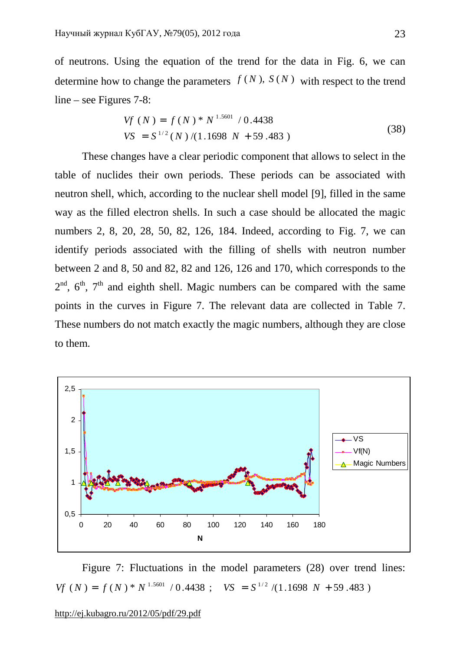of neutrons. Using the equation of the trend for the data in Fig. 6, we can determine how to change the parameters  $f(N)$ ,  $S(N)$  with respect to the trend line – see Figures 7-8:

$$
Vf(N) = f(N) * N^{1.5601} / 0.4438
$$
  
\n
$$
VS = S^{1/2}(N) / (1.1698 N + 59.483)
$$
\n(38)

These changes have a clear periodic component that allows to select in the table of nuclides their own periods. These periods can be associated with neutron shell, which, according to the nuclear shell model [9], filled in the same way as the filled electron shells. In such a case should be allocated the magic numbers 2, 8, 20, 28, 50, 82, 126, 184. Indeed, according to Fig. 7, we can identify periods associated with the filling of shells with neutron number between 2 and 8, 50 and 82, 82 and 126, 126 and 170, which corresponds to the  $2<sup>nd</sup>$ ,  $6<sup>th</sup>$ ,  $7<sup>th</sup>$  and eighth shell. Magic numbers can be compared with the same points in the curves in Figure 7. The relevant data are collected in Table 7. These numbers do not match exactly the magic numbers, although they are close to them.



Figure 7: Fluctuations in the model parameters (28) over trend lines:  $Vf(N) = f(N)^* N^{1.5601} / 0.4438$ ;  $VS = S^{1/2} / (1.1698 N + 59.483)$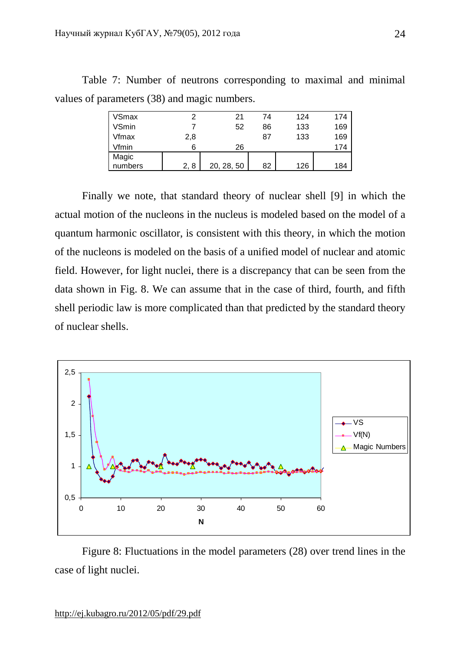| <b>VSmax</b> |     | 21         | 74 | 124 | 174 |
|--------------|-----|------------|----|-----|-----|
| VSmin        |     | 52         | 86 | 133 | 169 |
| Vfmax        | 2,8 |            | 87 | 133 | 169 |
| Vfmin        | 6   | 26         |    |     | 174 |
| Magic        |     |            |    |     |     |
| numbers      | 2,8 | 20, 28, 50 | 82 | 126 | 184 |

Table 7: Number of neutrons corresponding to maximal and minimal values of parameters (38) and magic numbers.

Finally we note, that standard theory of nuclear shell [9] in which the actual motion of the nucleons in the nucleus is modeled based on the model of a quantum harmonic oscillator, is consistent with this theory, in which the motion of the nucleons is modeled on the basis of a unified model of nuclear and atomic field. However, for light nuclei, there is a discrepancy that can be seen from the data shown in Fig. 8. We can assume that in the case of third, fourth, and fifth shell periodic law is more complicated than that predicted by the standard theory of nuclear shells.



Figure 8: Fluctuations in the model parameters (28) over trend lines in the case of light nuclei.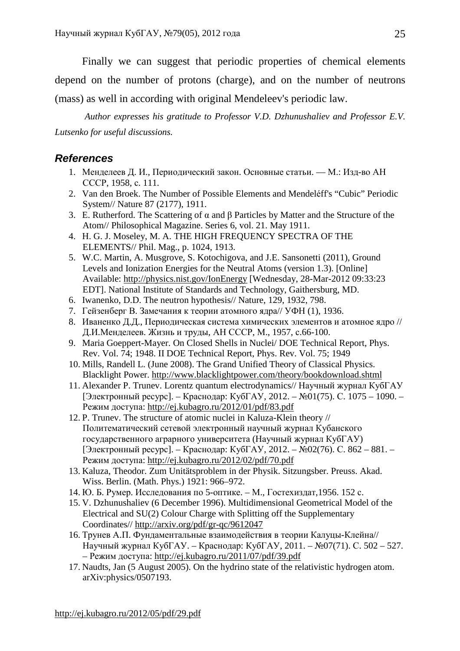Finally we can suggest that periodic properties of chemical elements depend on the number of protons (charge), and on the number of neutrons (mass) as well in according with original Mendeleev's periodic law.

*Author expresses his gratitude to Professor V.D. Dzhunushaliev and Professor E.V. Lutsenko for useful discussions.* 

# *References*

- 1. Менделеев Д. И., Периодический закон. Основные статьи. М.: Изд-во АН СССР, 1958, с. 111.
- 2. Van den Broek. The Number of Possible Elements and Mendeléff's "Cubic" Periodic System// Nature 87 (2177), 1911.
- 3. E. Rutherford. The Scattering of  $\alpha$  and  $\beta$  Particles by Matter and the Structure of the Atom// Philosophical Magazine. Series 6, vol. 21. May 1911.
- 4. H. G. J. Moseley, M. A. THE HIGH FREQUENCY SPECTRA OF THE ELEMENTS// Phil. Mag., p. 1024, 1913.
- 5. W.C. Martin, A. Musgrove, S. Kotochigova, and J.E. Sansonetti (2011), Ground Levels and Ionization Energies for the Neutral Atoms (version 1.3). [Online] Available: <http://physics.nist.gov/IonEnergy> [Wednesday, 28-Mar-2012 09:33:23 EDT]. National Institute of Standards and Technology, Gaithersburg, MD.
- 6. Iwanenko, D.D. The neutron hypothesis// Nature, 129, 1932, 798.
- 7. Гейзенберг В. Замечания к теории атомного ядра// УФН (1), 1936.
- 8. Иваненко Д.Д., Периодическая система химических элементов и атомное ядро // Д.И.Менделеев. Жизнь и труды, АН СССР, М., 1957, с.66-100.
- 9. Maria Goeppert-Mayer. On Closed Shells in Nuclei/ DOE Technical Report, Phys. Rev. Vol. 74; 1948. II DOE Technical Report, Phys. Rev. Vol. 75; 1949
- 10. Mills, Randell L. (June 2008). The Grand Unified Theory of Classical Physics. Blacklight Power.<http://www.blacklightpower.com/theory/bookdownload.shtml>
- 11. Alexander P. Trunev. Lorentz quantum electrodynamics// Научный журнал КубГАУ [Электронный ресурс]. – Краснодар: КубГАУ, 2012. – №01(75). С. 1075 – 1090. – Режим доступа: <http://ej.kubagro.ru/2012/01/pdf/83.pdf>
- 12. P. Trunev. The structure of atomic nuclei in Kaluza-Klein theory // Политематический сетевой электронный научный журнал Кубанского государственного аграрного университета (Научный журнал КубГАУ) [Электронный ресурс]. – Краснодар: КубГАУ, 2012. – №02(76). С. 862 – 881. – Режим доступа: <http://ej.kubagro.ru/2012/02/pdf/70.pdf>
- 13. Kaluza, Theodor. Zum Unitätsproblem in der Physik. Sitzungsber. Preuss. Akad. Wiss. Berlin. (Math. Phys.) 1921: 966–972.
- 14. Ю. Б. Румер. Исследования по 5-оптике. М., Гостехиздат,1956. 152 с.
- 15. V. Dzhunushaliev (6 December 1996). Multidimensional Geometrical Model of the Electrical and SU(2) Colour Charge with Splitting off the Supplementary Coordinates// <http://arxiv.org/pdf/gr-qc/9612047>
- 16. Трунев А.П. Фундаментальные взаимодействия в теории Калуцы-Клейна// Научный журнал КубГАУ. – Краснодар: КубГАУ, 2011. – №07(71). С. 502 – 527. – Режим доступа: <http://ej.kubagro.ru/2011/07/pdf/39.pdf>
- 17. Naudts, Jan (5 August 2005). On the hydrino state of the relativistic hydrogen atom. arXiv:physics/0507193.